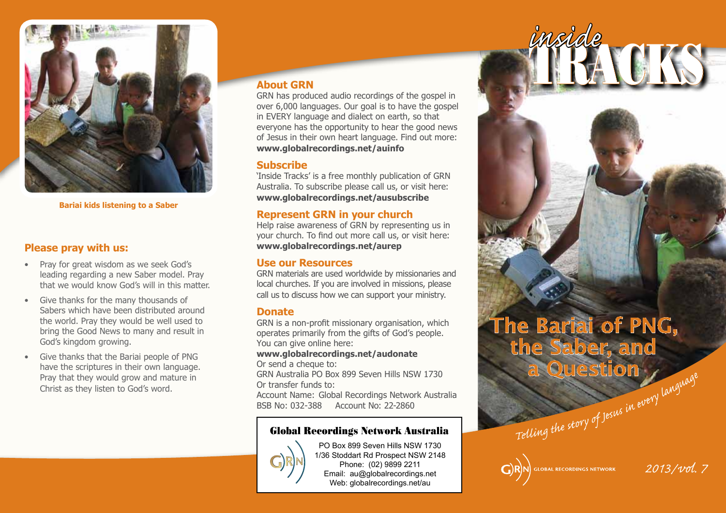

**Bariai kids listening to a Saber**

#### **Please pray with us:**

- Pray for great wisdom as we seek God's leading regarding a new Saber model. Pray that we would know God's will in this matter.
- Give thanks for the many thousands of Sabers which have been distributed around the world. Pray they would be well used to bring the Good News to many and result in God's kingdom growing.
- Give thanks that the Bariai people of PNG have the scriptures in their own language. Pray that they would grow and mature in Christ as they listen to God's word.

#### **About GRN**

GRN has produced audio recordings of the gospel in over 6,000 languages. Our goal is to have the gospel in EVERY language and dialect on earth, so that everyone has the opportunity to hear the good news of Jesus in their own heart language. Find out more: **www.globalrecordings.net/auinfo**

#### **Subscribe**

'Inside Tracks' is a free monthly publication of GRN Australia. To subscribe please call us, or visit here: **www.globalrecordings.net/ausubscribe**

#### **Represent GRN in your church**

Help raise awareness of GRN by representing us in your church. To find out more call us, or visit here: **www.globalrecordings.net/aurep**

#### **Use our Resources**

GRN materials are used worldwide by missionaries and local churches. If you are involved in missions, please call us to discuss how we can support your ministry.

#### **Donate**

GRN is a non-profit missionary organisation, which operates primarily from the gifts of God's people. You can give online here:

### **www.globalrecordings.net/audonate**

Or send a cheque to:

GRN Australia PO Box 899 Seven Hills NSW 1730 Or transfer funds to:

Account Name: Global Recordings Network Australia BSB No: 032-388 Account No: 22-2860

#### Global Recordings Network Australia



PO Box 899 Seven Hills NSW 1730 1/36 Stoddart Rd Prospect NSW 2148 Phone: (02) 9899 2211 Email: au@globalrecordings.net Web: globalrecordings.net/au

# Telling the story of Jesus in every language The Bariai of PNG, the Saber, and a Question

TRACKS *inside*

### **GLOBAL RECORDINGS NETWORK**

*2013/vol. 7*